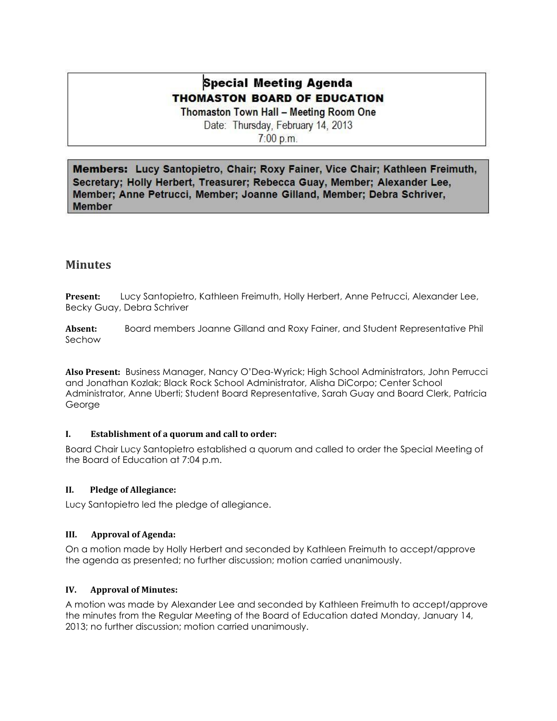# **Special Meeting Agenda THOMASTON BOARD OF EDUCATION**

Thomaston Town Hall - Meeting Room One Date: Thursday, February 14, 2013

7:00 p.m.

Members: Lucy Santopietro, Chair; Roxy Fainer, Vice Chair; Kathleen Freimuth, Secretary; Holly Herbert, Treasurer; Rebecca Guay, Member; Alexander Lee, Member; Anne Petrucci, Member; Joanne Gilland, Member; Debra Schriver, **Member** 

# **Minutes**

**Present:** Lucy Santopietro, Kathleen Freimuth, Holly Herbert, Anne Petrucci, Alexander Lee, Becky Guay, Debra Schriver

**Absent:** Board members Joanne Gilland and Roxy Fainer, and Student Representative Phil Sechow

**Also Present:** Business Manager, Nancy O'Dea-Wyrick; High School Administrators, John Perrucci and Jonathan Kozlak; Black Rock School Administrator, Alisha DiCorpo; Center School Administrator, Anne Uberti; Student Board Representative, Sarah Guay and Board Clerk, Patricia George

### **I. Establishment of a quorum and call to order:**

Board Chair Lucy Santopietro established a quorum and called to order the Special Meeting of the Board of Education at 7:04 p.m.

### **II. Pledge of Allegiance:**

Lucy Santopietro led the pledge of allegiance.

### **III. Approval of Agenda:**

On a motion made by Holly Herbert and seconded by Kathleen Freimuth to accept/approve the agenda as presented; no further discussion; motion carried unanimously.

### **IV. Approval of Minutes:**

A motion was made by Alexander Lee and seconded by Kathleen Freimuth to accept/approve the minutes from the Regular Meeting of the Board of Education dated Monday, January 14, 2013; no further discussion; motion carried unanimously.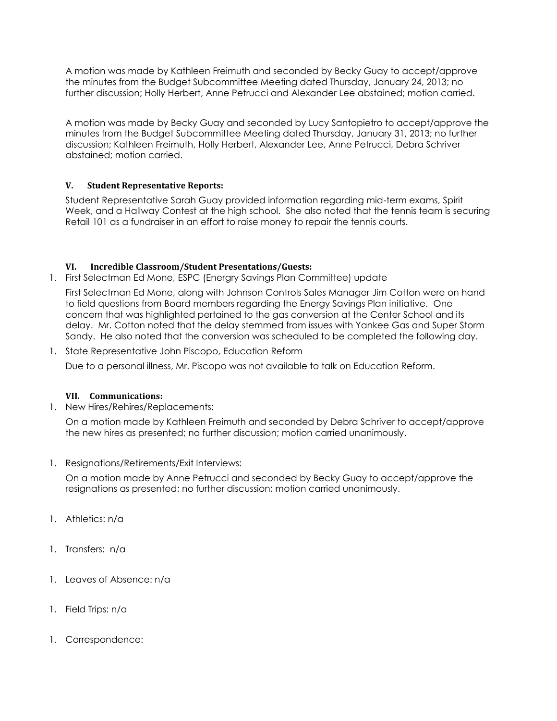A motion was made by Kathleen Freimuth and seconded by Becky Guay to accept/approve the minutes from the Budget Subcommittee Meeting dated Thursday, January 24, 2013; no further discussion; Holly Herbert, Anne Petrucci and Alexander Lee abstained; motion carried.

A motion was made by Becky Guay and seconded by Lucy Santopietro to accept/approve the minutes from the Budget Subcommittee Meeting dated Thursday, January 31, 2013; no further discussion; Kathleen Freimuth, Holly Herbert, Alexander Lee, Anne Petrucci, Debra Schriver abstained; motion carried.

### **V. Student Representative Reports:**

Student Representative Sarah Guay provided information regarding mid-term exams, Spirit Week, and a Hallway Contest at the high school. She also noted that the tennis team is securing Retail 101 as a fundraiser in an effort to raise money to repair the tennis courts.

### **VI. Incredible Classroom/Student Presentations/Guests:**

1. First Selectman Ed Mone, ESPC (Energry Savings Plan Committee) update

First Selectman Ed Mone, along with Johnson Controls Sales Manager Jim Cotton were on hand to field questions from Board members regarding the Energy Savings Plan initiative. One concern that was highlighted pertained to the gas conversion at the Center School and its delay. Mr. Cotton noted that the delay stemmed from issues with Yankee Gas and Super Storm Sandy. He also noted that the conversion was scheduled to be completed the following day.

1. State Representative John Piscopo, Education Reform

Due to a personal illness, Mr. Piscopo was not available to talk on Education Reform.

### **VII. Communications:**

1. New Hires/Rehires/Replacements:

On a motion made by Kathleen Freimuth and seconded by Debra Schriver to accept/approve the new hires as presented; no further discussion; motion carried unanimously.

1. Resignations/Retirements/Exit Interviews:

On a motion made by Anne Petrucci and seconded by Becky Guay to accept/approve the resignations as presented; no further discussion; motion carried unanimously.

- 1. Athletics: n/a
- 1. Transfers: n/a
- 1. Leaves of Absence: n/a
- 1. Field Trips: n/a
- 1. Correspondence: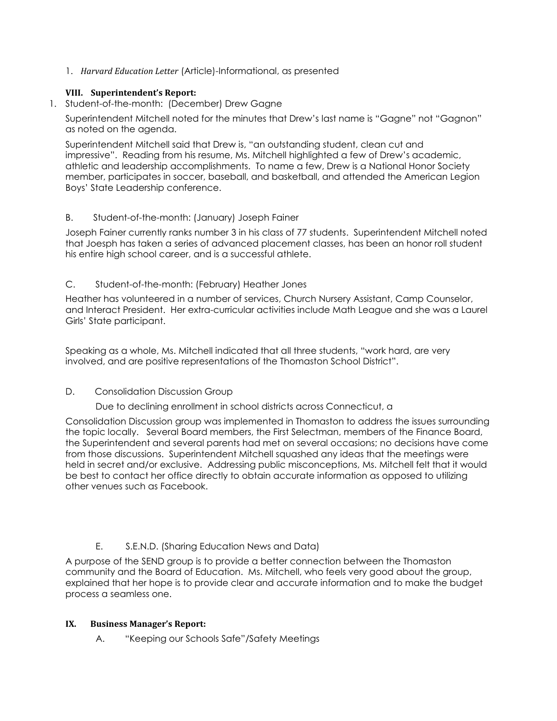1. *Harvard Education Letter* (Article)-Informational, as presented

### **VIII. Superintendent's Report:**

1. Student-of-the-month: (December) Drew Gagne

Superintendent Mitchell noted for the minutes that Drew's last name is "Gagne" not "Gagnon" as noted on the agenda.

Superintendent Mitchell said that Drew is, "an outstanding student, clean cut and impressive". Reading from his resume, Ms. Mitchell highlighted a few of Drew's academic, athletic and leadership accomplishments. To name a few, Drew is a National Honor Society member, participates in soccer, baseball, and basketball, and attended the American Legion Boys' State Leadership conference.

# B. Student-of-the-month: (January) Joseph Fainer

Joseph Fainer currently ranks number 3 in his class of 77 students. Superintendent Mitchell noted that Joesph has taken a series of advanced placement classes, has been an honor roll student his entire high school career, and is a successful athlete.

# C. Student-of-the-month: (February) Heather Jones

Heather has volunteered in a number of services, Church Nursery Assistant, Camp Counselor, and Interact President. Her extra-curricular activities include Math League and she was a Laurel Girls' State participant.

Speaking as a whole, Ms. Mitchell indicated that all three students, "work hard, are very involved, and are positive representations of the Thomaston School District".

### D. Consolidation Discussion Group

Due to declining enrollment in school districts across Connecticut, a

Consolidation Discussion group was implemented in Thomaston to address the issues surrounding the topic locally. Several Board members, the First Selectman, members of the Finance Board, the Superintendent and several parents had met on several occasions; no decisions have come from those discussions. Superintendent Mitchell squashed any ideas that the meetings were held in secret and/or exclusive. Addressing public misconceptions, Ms. Mitchell felt that it would be best to contact her office directly to obtain accurate information as opposed to utilizing other venues such as Facebook.

# E. S.E.N.D. (Sharing Education News and Data)

A purpose of the SEND group is to provide a better connection between the Thomaston community and the Board of Education. Ms. Mitchell, who feels very good about the group, explained that her hope is to provide clear and accurate information and to make the budget process a seamless one.

### **IX. Business Manager's Report:**

A. "Keeping our Schools Safe"/Safety Meetings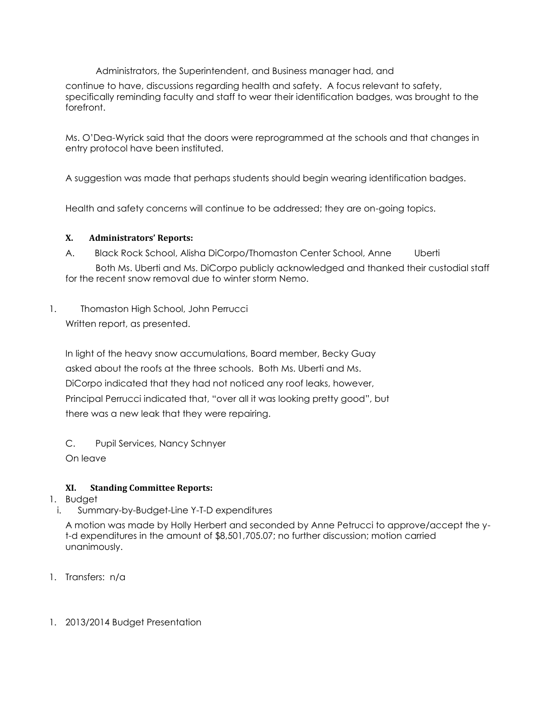Administrators, the Superintendent, and Business manager had, and

continue to have, discussions regarding health and safety. A focus relevant to safety, specifically reminding faculty and staff to wear their identification badges, was brought to the forefront.

Ms. O'Dea-Wyrick said that the doors were reprogrammed at the schools and that changes in entry protocol have been instituted.

A suggestion was made that perhaps students should begin wearing identification badges.

Health and safety concerns will continue to be addressed; they are on-going topics.

### **X. Administrators' Reports:**

- A. Black Rock School, Alisha DiCorpo/Thomaston Center School, Anne Uberti Both Ms. Uberti and Ms. DiCorpo publicly acknowledged and thanked their custodial staff for the recent snow removal due to winter storm Nemo.
- 1. Thomaston High School, John Perrucci Written report, as presented.

In light of the heavy snow accumulations, Board member, Becky Guay asked about the roofs at the three schools. Both Ms. Uberti and Ms. DiCorpo indicated that they had not noticed any roof leaks, however, Principal Perrucci indicated that, "over all it was looking pretty good", but there was a new leak that they were repairing.

C. Pupil Services, Nancy Schnyer

On leave

# **XI. Standing Committee Reports:**

- 1. Budget
- i. Summary-by-Budget-Line Y-T-D expenditures

A motion was made by Holly Herbert and seconded by Anne Petrucci to approve/accept the yt-d expenditures in the amount of \$8,501,705.07; no further discussion; motion carried unanimously.

- 1. Transfers: n/a
- 1. 2013/2014 Budget Presentation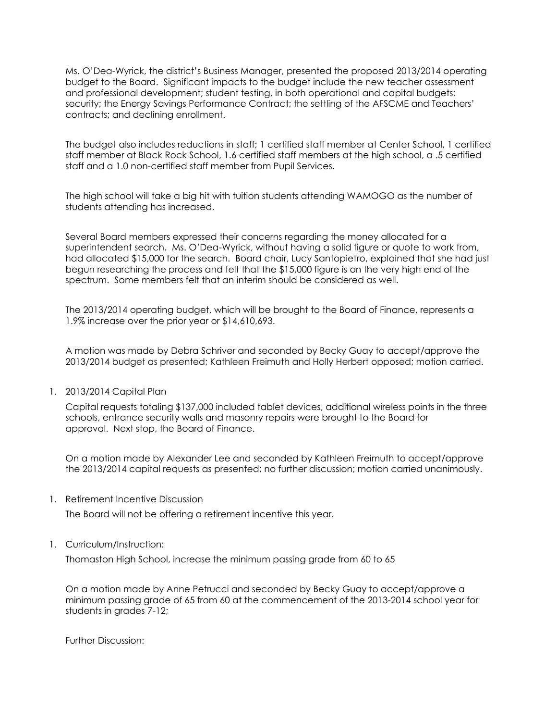Ms. O'Dea-Wyrick, the district's Business Manager, presented the proposed 2013/2014 operating budget to the Board. Significant impacts to the budget include the new teacher assessment and professional development; student testing, in both operational and capital budgets; security; the Energy Savings Performance Contract; the settling of the AFSCME and Teachers' contracts; and declining enrollment.

The budget also includes reductions in staff; 1 certified staff member at Center School, 1 certified staff member at Black Rock School, 1.6 certified staff members at the high school, a .5 certified staff and a 1.0 non-certified staff member from Pupil Services.

The high school will take a big hit with tuition students attending WAMOGO as the number of students attending has increased.

Several Board members expressed their concerns regarding the money allocated for a superintendent search. Ms. O'Dea-Wyrick, without having a solid figure or quote to work from, had allocated \$15,000 for the search. Board chair, Lucy Santopietro, explained that she had just begun researching the process and felt that the \$15,000 figure is on the very high end of the spectrum. Some members felt that an interim should be considered as well.

The 2013/2014 operating budget, which will be brought to the Board of Finance, represents a 1.9% increase over the prior year or \$14,610,693.

A motion was made by Debra Schriver and seconded by Becky Guay to accept/approve the 2013/2014 budget as presented; Kathleen Freimuth and Holly Herbert opposed; motion carried.

1. 2013/2014 Capital Plan

Capital requests totaling \$137,000 included tablet devices, additional wireless points in the three schools, entrance security walls and masonry repairs were brought to the Board for approval. Next stop, the Board of Finance.

On a motion made by Alexander Lee and seconded by Kathleen Freimuth to accept/approve the 2013/2014 capital requests as presented; no further discussion; motion carried unanimously.

1. Retirement Incentive Discussion

The Board will not be offering a retirement incentive this year.

1. Curriculum/Instruction:

Thomaston High School, increase the minimum passing grade from 60 to 65

On a motion made by Anne Petrucci and seconded by Becky Guay to accept/approve a minimum passing grade of 65 from 60 at the commencement of the 2013-2014 school year for students in grades 7-12;

Further Discussion: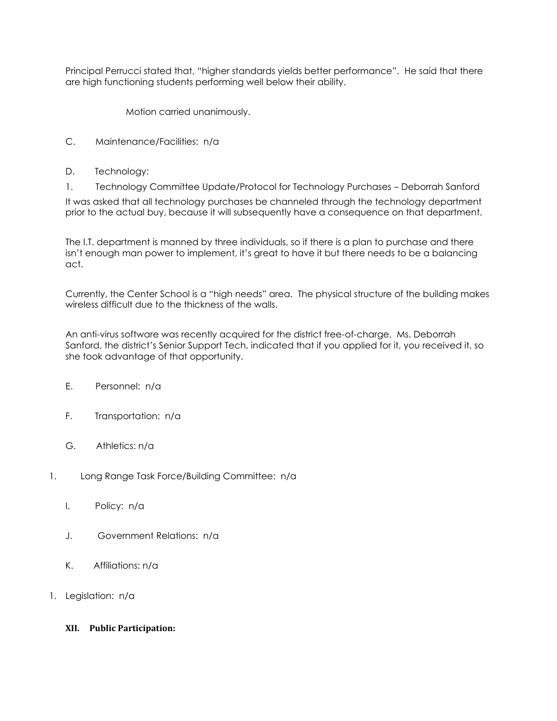Principal Perrucci stated that, "higher standards yields better performance". He said that there are high functioning students performing well below their ability.

Motion carried unanimously.

- C. Maintenance/Facilities: n/a
- D. Technology:
- 1. Technology Committee Update/Protocol for Technology Purchases Deborrah Sanford

It was asked that all technology purchases be channeled through the technology department prior to the actual buy, because it will subsequently have a consequence on that department.

The I.T. department is manned by three individuals, so if there is a plan to purchase and there isn't enough man power to implement, it's great to have it but there needs to be a balancing act.

Currently, the Center School is a "high needs" area. The physical structure of the building makes wireless difficult due to the thickness of the walls.

An anti-virus software was recently acquired for the district free-of-charge. Ms. Deborrah Sanford, the district's Senior Support Tech, indicated that if you applied for it, you received it, so she took advantage of that opportunity.

- E. Personnel: n/a
- F. Transportation: n/a
- G. Athletics: n/a
- 1. Long Range Task Force/Building Committee: n/a
	- I. Policy: n/a
	- J. Government Relations: n/a
	- K. Affiliations: n/a
- 1. Legislation: n/a
	- **XII. Public Participation:**